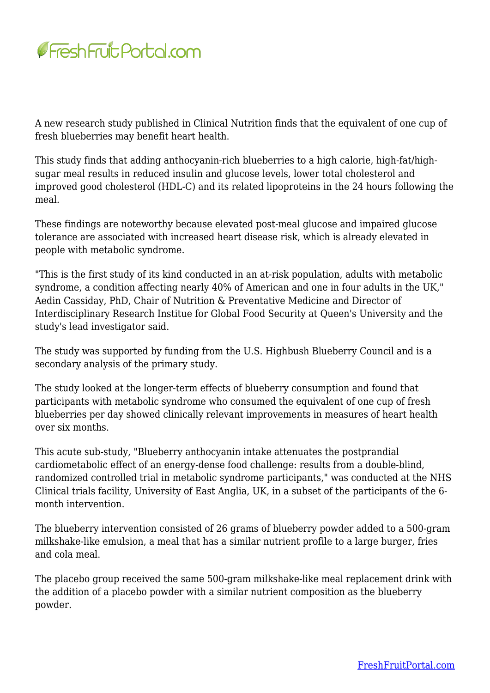

A new research study published in Clinical Nutrition finds that the equivalent of one cup of fresh blueberries may benefit heart health.

This study finds that adding anthocyanin-rich blueberries to a high calorie, high-fat/highsugar meal results in reduced insulin and glucose levels, lower total cholesterol and improved good cholesterol (HDL-C) and its related lipoproteins in the 24 hours following the meal.

These findings are noteworthy because elevated post-meal glucose and impaired glucose tolerance are associated with increased heart disease risk, which is already elevated in people with metabolic syndrome.

"This is the first study of its kind conducted in an at-risk population, adults with metabolic syndrome, a condition affecting nearly 40% of American and one in four adults in the UK," Aedin Cassiday, PhD, Chair of Nutrition & Preventative Medicine and Director of Interdisciplinary Research Institue for Global Food Security at Queen's University and the study's lead investigator said.

The study was supported by funding from the U.S. Highbush Blueberry Council and is a secondary analysis of the primary study.

The study looked at the longer-term effects of blueberry consumption and found that participants with metabolic syndrome who consumed the equivalent of one cup of fresh blueberries per day showed clinically relevant improvements in measures of heart health over six months.

This acute sub-study, "Blueberry anthocyanin intake attenuates the postprandial cardiometabolic effect of an energy-dense food challenge: results from a double-blind, randomized controlled trial in metabolic syndrome participants," was conducted at the NHS Clinical trials facility, University of East Anglia, UK, in a subset of the participants of the 6 month intervention.

The blueberry intervention consisted of 26 grams of blueberry powder added to a 500-gram milkshake-like emulsion, a meal that has a similar nutrient profile to a large burger, fries and cola meal.

The placebo group received the same 500-gram milkshake-like meal replacement drink with the addition of a placebo powder with a similar nutrient composition as the blueberry powder.